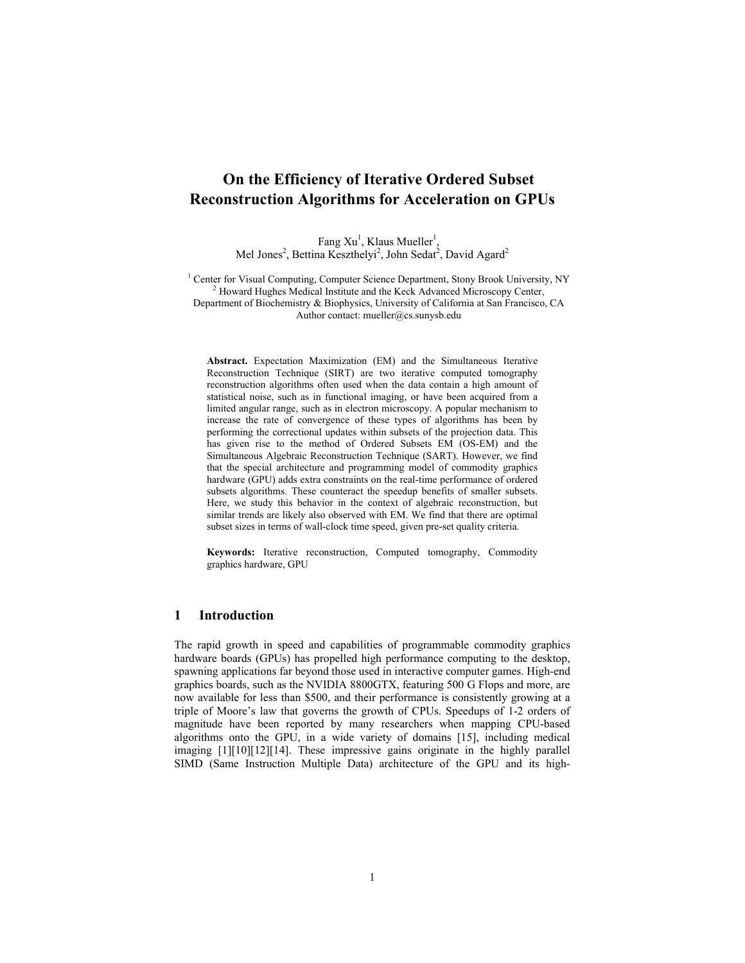# **On the Efficiency of Iterative Ordered Subset Reconstruction Algorithms for Acceleration on GPUs**

Fang  $Xu<sup>1</sup>$ , Klaus Mueller<sup>1</sup> , Mel Jones<sup>2</sup>, Bettina Keszthelyi<sup>2</sup>, John Sedat<sup>2</sup>, David Agard<sup>2</sup>

<sup>1</sup> Center for Visual Computing, Computer Science Department, Stony Brook University, NY  $^{2}$  Howard Hughes Medical Institute and the Veels Advanced Microscopy Center  $^{2}$  Howard Hughes Medical Institute and the Keck Advanced Microscopy Center, Department of Biochemistry & Biophysics, University of California at San Francisco, CA Author contact: mueller@cs.sunysb.edu

**Abstract.** Expectation Maximization (EM) and the Simultaneous Iterative Reconstruction Technique (SIRT) are two iterative computed tomography reconstruction algorithms often used when the data contain a high amount of statistical noise, such as in functional imaging, or have been acquired from a limited angular range, such as in electron microscopy. A popular mechanism to increase the rate of convergence of these types of algorithms has been by performing the correctional updates within subsets of the projection data. This has given rise to the method of Ordered Subsets EM (OS-EM) and the Simultaneous Algebraic Reconstruction Technique (SART). However, we find that the special architecture and programming model of commodity graphics hardware (GPU) adds extra constraints on the real-time performance of ordered subsets algorithms. These counteract the speedup benefits of smaller subsets. Here, we study this behavior in the context of algebraic reconstruction, but similar trends are likely also observed with EM. We find that there are optimal subset sizes in terms of wall-clock time speed, given pre-set quality criteria.

**Keywords:** Iterative reconstruction, Computed tomography, Commodity graphics hardware, GPU

# **1 Introduction**

The rapid growth in speed and capabilities of programmable commodity graphics hardware boards (GPUs) has propelled high performance computing to the desktop, spawning applications far beyond those used in interactive computer games. High-end graphics boards, such as the NVIDIA 8800GTX, featuring 500 G Flops and more, are now available for less than \$500, and their performance is consistently growing at a triple of Moore's law that governs the growth of CPUs. Speedups of 1-2 orders of magnitude have been reported by many researchers when mapping CPU-based algorithms onto the GPU, in a wide variety of domains [15], including medical imaging [1][10][12][14]. These impressive gains originate in the highly parallel SIMD (Same Instruction Multiple Data) architecture of the GPU and its high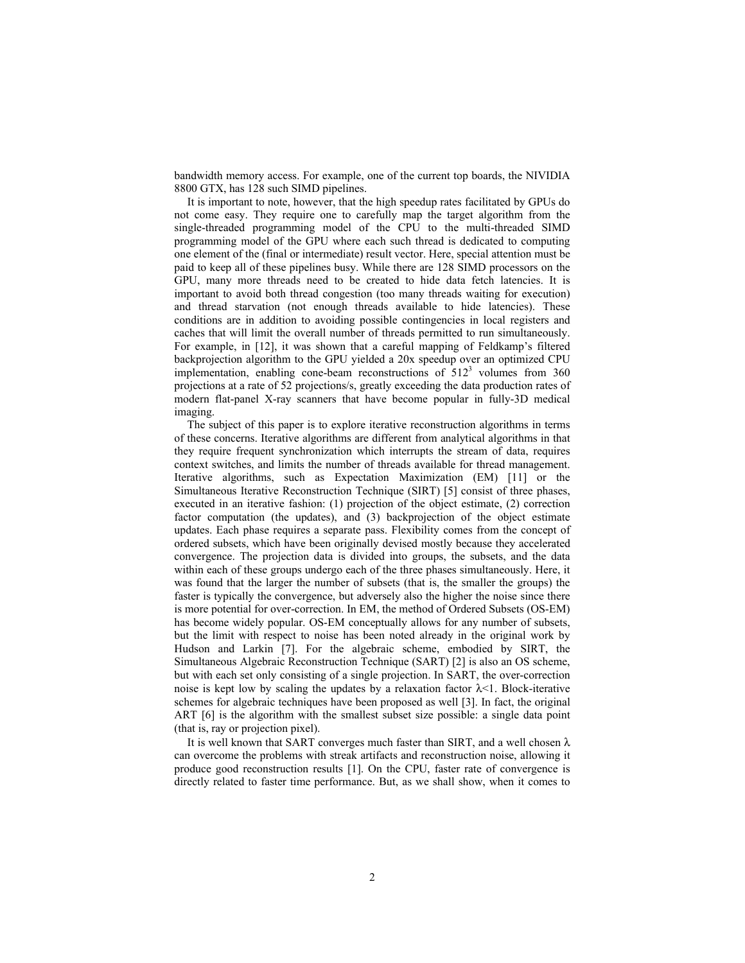bandwidth memory access. For example, one of the current top boards, the NIVIDIA 8800 GTX, has 128 such SIMD pipelines.

It is important to note, however, that the high speedup rates facilitated by GPUs do not come easy. They require one to carefully map the target algorithm from the single-threaded programming model of the CPU to the multi-threaded SIMD programming model of the GPU where each such thread is dedicated to computing one element of the (final or intermediate) result vector. Here, special attention must be paid to keep all of these pipelines busy. While there are 128 SIMD processors on the GPU, many more threads need to be created to hide data fetch latencies. It is important to avoid both thread congestion (too many threads waiting for execution) and thread starvation (not enough threads available to hide latencies). These conditions are in addition to avoiding possible contingencies in local registers and caches that will limit the overall number of threads permitted to run simultaneously. For example, in [12], it was shown that a careful mapping of Feldkamp's filtered backprojection algorithm to the GPU yielded a 20x speedup over an optimized CPU implementation, enabling cone-beam reconstructions of  $512<sup>3</sup>$  volumes from 360 projections at a rate of 52 projections/s, greatly exceeding the data production rates of modern flat-panel X-ray scanners that have become popular in fully-3D medical imaging.

The subject of this paper is to explore iterative reconstruction algorithms in terms of these concerns. Iterative algorithms are different from analytical algorithms in that they require frequent synchronization which interrupts the stream of data, requires context switches, and limits the number of threads available for thread management. Iterative algorithms, such as Expectation Maximization (EM) [11] or the Simultaneous Iterative Reconstruction Technique (SIRT) [5] consist of three phases, executed in an iterative fashion: (1) projection of the object estimate, (2) correction factor computation (the updates), and (3) backprojection of the object estimate updates. Each phase requires a separate pass. Flexibility comes from the concept of ordered subsets, which have been originally devised mostly because they accelerated convergence. The projection data is divided into groups, the subsets, and the data within each of these groups undergo each of the three phases simultaneously. Here, it was found that the larger the number of subsets (that is, the smaller the groups) the faster is typically the convergence, but adversely also the higher the noise since there is more potential for over-correction. In EM, the method of Ordered Subsets (OS-EM) has become widely popular. OS-EM conceptually allows for any number of subsets, but the limit with respect to noise has been noted already in the original work by Hudson and Larkin [7]. For the algebraic scheme, embodied by SIRT, the Simultaneous Algebraic Reconstruction Technique (SART) [2] is also an OS scheme, but with each set only consisting of a single projection. In SART, the over-correction noise is kept low by scaling the updates by a relaxation factor  $\lambda$ <1. Block-iterative schemes for algebraic techniques have been proposed as well [3]. In fact, the original ART [6] is the algorithm with the smallest subset size possible: a single data point (that is, ray or projection pixel).

It is well known that SART converges much faster than SIRT, and a well chosen  $\lambda$ can overcome the problems with streak artifacts and reconstruction noise, allowing it produce good reconstruction results [1]. On the CPU, faster rate of convergence is directly related to faster time performance. But, as we shall show, when it comes to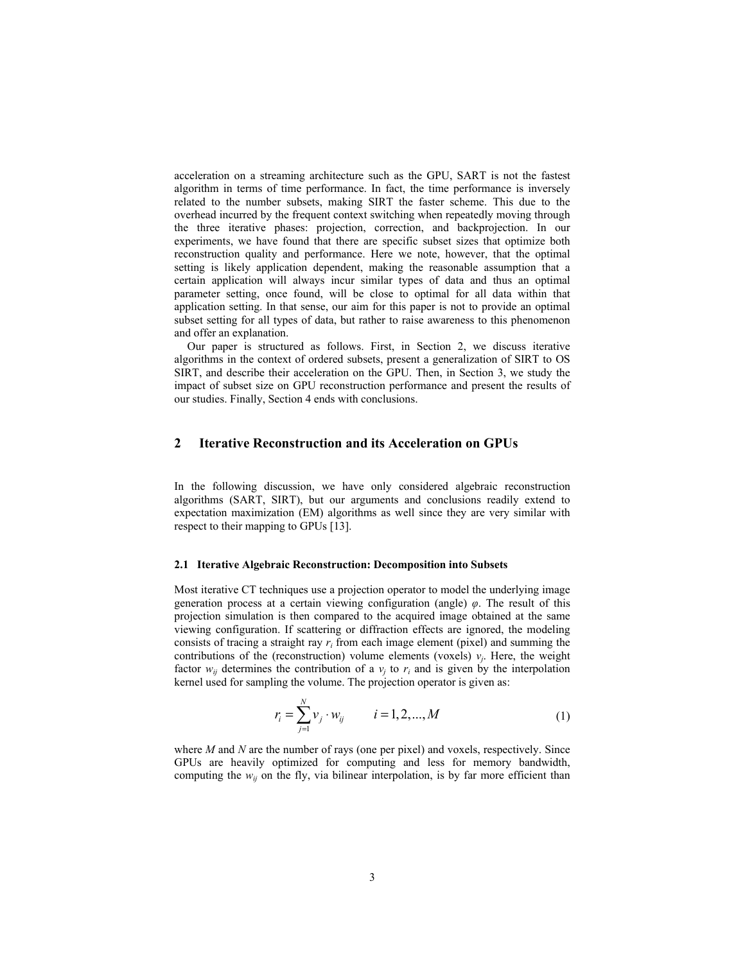acceleration on a streaming architecture such as the GPU, SART is not the fastest algorithm in terms of time performance. In fact, the time performance is inversely related to the number subsets, making SIRT the faster scheme. This due to the overhead incurred by the frequent context switching when repeatedly moving through the three iterative phases: projection, correction, and backprojection. In our experiments, we have found that there are specific subset sizes that optimize both reconstruction quality and performance. Here we note, however, that the optimal setting is likely application dependent, making the reasonable assumption that a certain application will always incur similar types of data and thus an optimal parameter setting, once found, will be close to optimal for all data within that application setting. In that sense, our aim for this paper is not to provide an optimal subset setting for all types of data, but rather to raise awareness to this phenomenon and offer an explanation.

Our paper is structured as follows. First, in Section 2, we discuss iterative algorithms in the context of ordered subsets, present a generalization of SIRT to OS SIRT, and describe their acceleration on the GPU. Then, in Section 3, we study the impact of subset size on GPU reconstruction performance and present the results of our studies. Finally, Section 4 ends with conclusions.

## **2 Iterative Reconstruction and its Acceleration on GPUs**

In the following discussion, we have only considered algebraic reconstruction algorithms (SART, SIRT), but our arguments and conclusions readily extend to expectation maximization (EM) algorithms as well since they are very similar with respect to their mapping to GPUs [13].

#### **2.1 Iterative Algebraic Reconstruction: Decomposition into Subsets**

Most iterative CT techniques use a projection operator to model the underlying image generation process at a certain viewing configuration (angle) *φ*. The result of this projection simulation is then compared to the acquired image obtained at the same viewing configuration. If scattering or diffraction effects are ignored, the modeling consists of tracing a straight ray *ri* from each image element (pixel) and summing the contributions of the (reconstruction) volume elements (voxels)  $v_j$ . Here, the weight factor  $w_{ij}$  determines the contribution of a  $v_j$  to  $r_i$  and is given by the interpolation kernel used for sampling the volume. The projection operator is given as:

$$
r_i = \sum_{j=1}^{N} v_j \cdot w_{ij} \qquad i = 1, 2, ..., M
$$
 (1)

where *M* and *N* are the number of rays (one per pixel) and voxels, respectively. Since GPUs are heavily optimized for computing and less for memory bandwidth, computing the  $w_{ij}$  on the fly, via bilinear interpolation, is by far more efficient than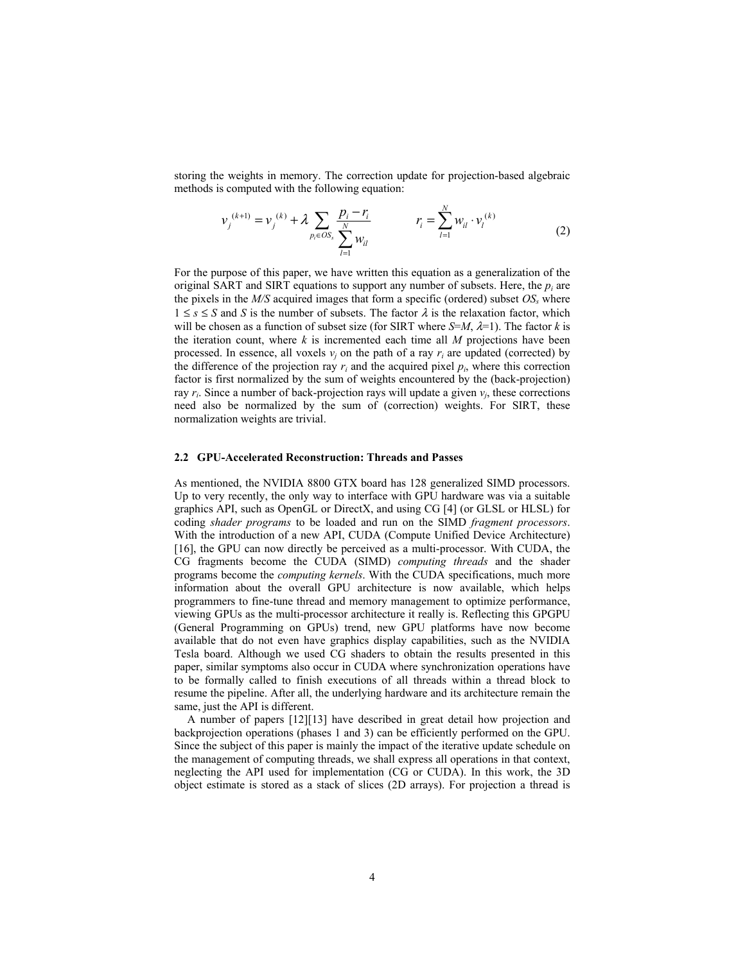storing the weights in memory. The correction update for projection-based algebraic methods is computed with the following equation:

$$
\nu_j^{(k+1)} = \nu_j^{(k)} + \lambda \sum_{p_i \in OS_s} \frac{p_i - r_i}{\sum_{l=1}^N w_{il}} \qquad \qquad r_i = \sum_{l=1}^N w_{il} \cdot \nu_l^{(k)} \tag{2}
$$

For the purpose of this paper, we have written this equation as a generalization of the original SART and SIRT equations to support any number of subsets. Here, the *pi* are the pixels in the *M/S* acquired images that form a specific (ordered) subset *OSs* where  $1 \leq s \leq S$  and *S* is the number of subsets. The factor  $\lambda$  is the relaxation factor, which will be chosen as a function of subset size (for SIRT where  $S=M$ ,  $\lambda=1$ ). The factor k is the iteration count, where  $k$  is incremented each time all  $M$  projections have been processed. In essence, all voxels  $v_i$  on the path of a ray  $r_i$  are updated (corrected) by the difference of the projection ray  $r_i$  and the acquired pixel  $p_i$ , where this correction factor is first normalized by the sum of weights encountered by the (back-projection) ray  $r_i$ . Since a number of back-projection rays will update a given  $v_i$ , these corrections need also be normalized by the sum of (correction) weights. For SIRT, these normalization weights are trivial.

#### **2.2 GPU-Accelerated Reconstruction: Threads and Passes**

As mentioned, the NVIDIA 8800 GTX board has 128 generalized SIMD processors. Up to very recently, the only way to interface with GPU hardware was via a suitable graphics API, such as OpenGL or DirectX, and using CG [4] (or GLSL or HLSL) for coding *shader programs* to be loaded and run on the SIMD *fragment processors*. With the introduction of a new API, CUDA (Compute Unified Device Architecture) [16], the GPU can now directly be perceived as a multi-processor. With CUDA, the CG fragments become the CUDA (SIMD) *computing threads* and the shader programs become the *computing kernels*. With the CUDA specifications, much more information about the overall GPU architecture is now available, which helps programmers to fine-tune thread and memory management to optimize performance, viewing GPUs as the multi-processor architecture it really is. Reflecting this GPGPU (General Programming on GPUs) trend, new GPU platforms have now become available that do not even have graphics display capabilities, such as the NVIDIA Tesla board. Although we used CG shaders to obtain the results presented in this paper, similar symptoms also occur in CUDA where synchronization operations have to be formally called to finish executions of all threads within a thread block to resume the pipeline. After all, the underlying hardware and its architecture remain the same, just the API is different.

A number of papers [12][13] have described in great detail how projection and backprojection operations (phases 1 and 3) can be efficiently performed on the GPU. Since the subject of this paper is mainly the impact of the iterative update schedule on the management of computing threads, we shall express all operations in that context, neglecting the API used for implementation (CG or CUDA). In this work, the 3D object estimate is stored as a stack of slices (2D arrays). For projection a thread is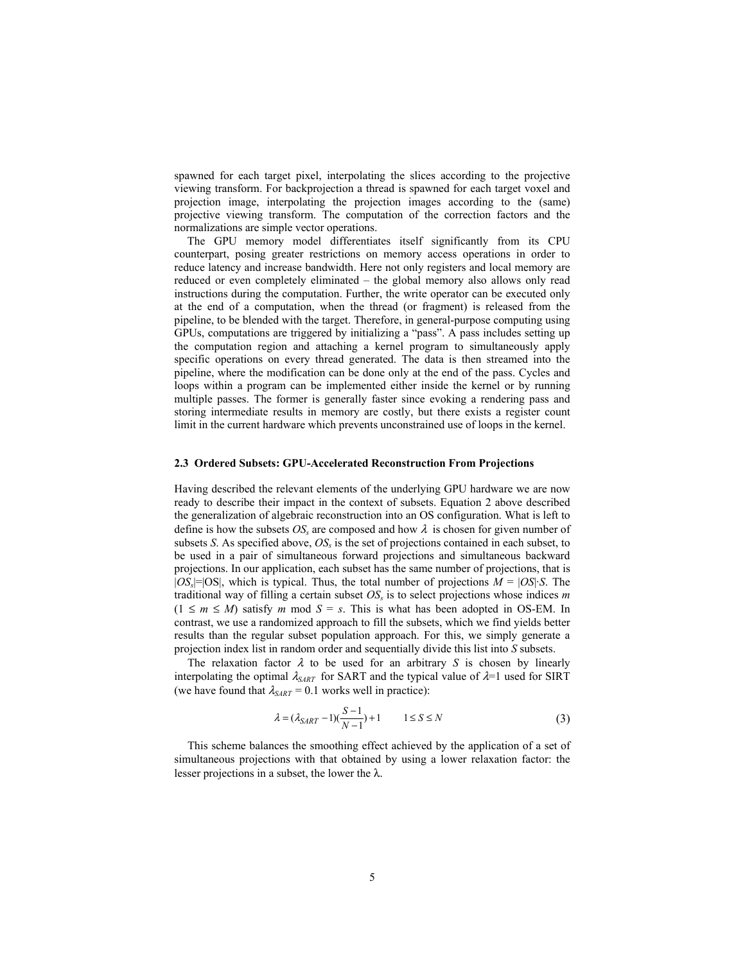spawned for each target pixel, interpolating the slices according to the projective viewing transform. For backprojection a thread is spawned for each target voxel and projection image, interpolating the projection images according to the (same) projective viewing transform. The computation of the correction factors and the normalizations are simple vector operations.

The GPU memory model differentiates itself significantly from its CPU counterpart, posing greater restrictions on memory access operations in order to reduce latency and increase bandwidth. Here not only registers and local memory are reduced or even completely eliminated – the global memory also allows only read instructions during the computation. Further, the write operator can be executed only at the end of a computation, when the thread (or fragment) is released from the pipeline, to be blended with the target. Therefore, in general-purpose computing using GPUs, computations are triggered by initializing a "pass". A pass includes setting up the computation region and attaching a kernel program to simultaneously apply specific operations on every thread generated. The data is then streamed into the pipeline, where the modification can be done only at the end of the pass. Cycles and loops within a program can be implemented either inside the kernel or by running multiple passes. The former is generally faster since evoking a rendering pass and storing intermediate results in memory are costly, but there exists a register count limit in the current hardware which prevents unconstrained use of loops in the kernel.

### **2.3 Ordered Subsets: GPU-Accelerated Reconstruction From Projections**

Having described the relevant elements of the underlying GPU hardware we are now ready to describe their impact in the context of subsets. Equation 2 above described the generalization of algebraic reconstruction into an OS configuration. What is left to define is how the subsets  $OS_s$  are composed and how  $\lambda$  is chosen for given number of subsets *S*. As specified above,  $OS<sub>s</sub>$  is the set of projections contained in each subset, to be used in a pair of simultaneous forward projections and simultaneous backward projections. In our application, each subset has the same number of projections, that is  $|OS_s|=|OS|$ , which is typical. Thus, the total number of projections  $M = |OS| \cdot S$ . The traditional way of filling a certain subset  $OS<sub>s</sub>$  is to select projections whose indices  $m$  $(1 \leq m \leq M)$  satisfy *m* mod  $S = s$ . This is what has been adopted in OS-EM. In contrast, we use a randomized approach to fill the subsets, which we find yields better results than the regular subset population approach. For this, we simply generate a projection index list in random order and sequentially divide this list into *S* subsets.

The relaxation factor  $\lambda$  to be used for an arbitrary *S* is chosen by linearly interpolating the optimal  $\lambda_{SART}$  for SART and the typical value of  $\lambda=1$  used for SIRT (we have found that  $\lambda_{SART} = 0.1$  works well in practice):

$$
\lambda = (\lambda_{SART} - 1)(\frac{S-1}{N-1}) + 1 \qquad 1 \le S \le N \tag{3}
$$

This scheme balances the smoothing effect achieved by the application of a set of simultaneous projections with that obtained by using a lower relaxation factor: the lesser projections in a subset, the lower the  $\lambda$ .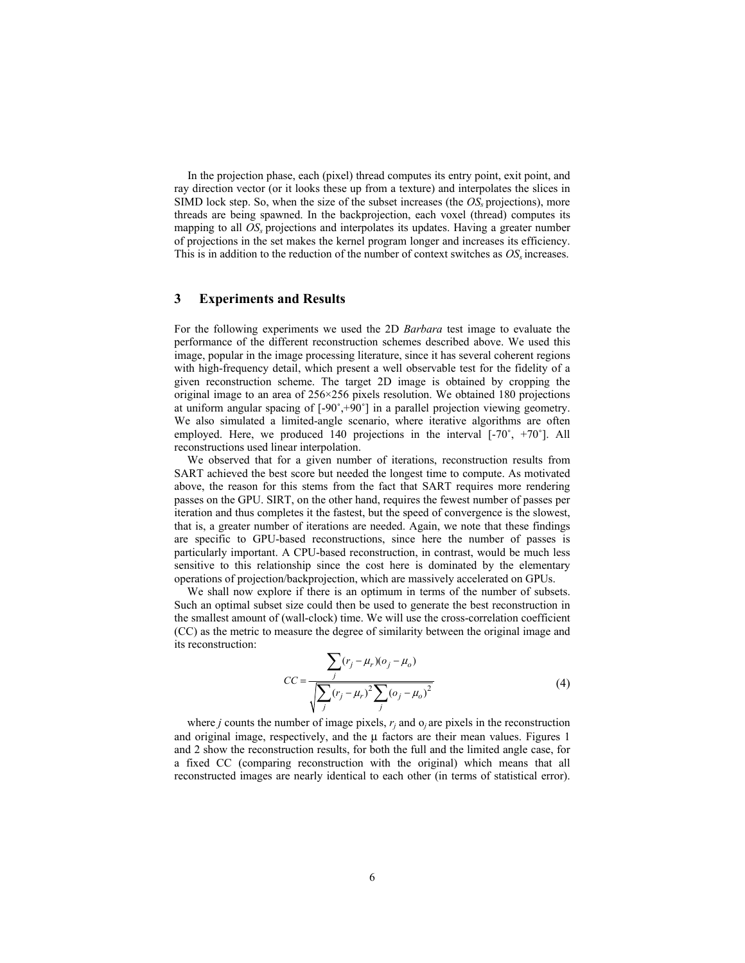In the projection phase, each (pixel) thread computes its entry point, exit point, and ray direction vector (or it looks these up from a texture) and interpolates the slices in SIMD lock step. So, when the size of the subset increases (the  $OS<sub>s</sub>$  projections), more threads are being spawned. In the backprojection, each voxel (thread) computes its mapping to all *OS<sub>s</sub>* projections and interpolates its updates. Having a greater number of projections in the set makes the kernel program longer and increases its efficiency. This is in addition to the reduction of the number of context switches as  $OS<sub>s</sub>$  increases.

### **3 Experiments and Results**

For the following experiments we used the 2D *Barbara* test image to evaluate the performance of the different reconstruction schemes described above. We used this image, popular in the image processing literature, since it has several coherent regions with high-frequency detail, which present a well observable test for the fidelity of a given reconstruction scheme. The target 2D image is obtained by cropping the original image to an area of 256×256 pixels resolution. We obtained 180 projections at uniform angular spacing of [-90˚,+90˚] in a parallel projection viewing geometry. We also simulated a limited-angle scenario, where iterative algorithms are often employed. Here, we produced 140 projections in the interval [-70˚, +70˚]. All reconstructions used linear interpolation.

We observed that for a given number of iterations, reconstruction results from SART achieved the best score but needed the longest time to compute. As motivated above, the reason for this stems from the fact that SART requires more rendering passes on the GPU. SIRT, on the other hand, requires the fewest number of passes per iteration and thus completes it the fastest, but the speed of convergence is the slowest, that is, a greater number of iterations are needed. Again, we note that these findings are specific to GPU-based reconstructions, since here the number of passes is particularly important. A CPU-based reconstruction, in contrast, would be much less sensitive to this relationship since the cost here is dominated by the elementary operations of projection/backprojection, which are massively accelerated on GPUs.

We shall now explore if there is an optimum in terms of the number of subsets. Such an optimal subset size could then be used to generate the best reconstruction in the smallest amount of (wall-clock) time. We will use the cross-correlation coefficient (CC) as the metric to measure the degree of similarity between the original image and its reconstruction:

$$
CC = \frac{\sum_{j} (r_j - \mu_r)(o_j - \mu_o)}{\sqrt{\sum_{j} (r_j - \mu_r)^2 \sum_{j} (o_j - \mu_o)^2}}
$$
(4)

where *j* counts the number of image pixels,  $r_i$  and  $o_j$  are pixels in the reconstruction and original image, respectively, and the μ factors are their mean values. Figures 1 and 2 show the reconstruction results, for both the full and the limited angle case, for a fixed CC (comparing reconstruction with the original) which means that all reconstructed images are nearly identical to each other (in terms of statistical error).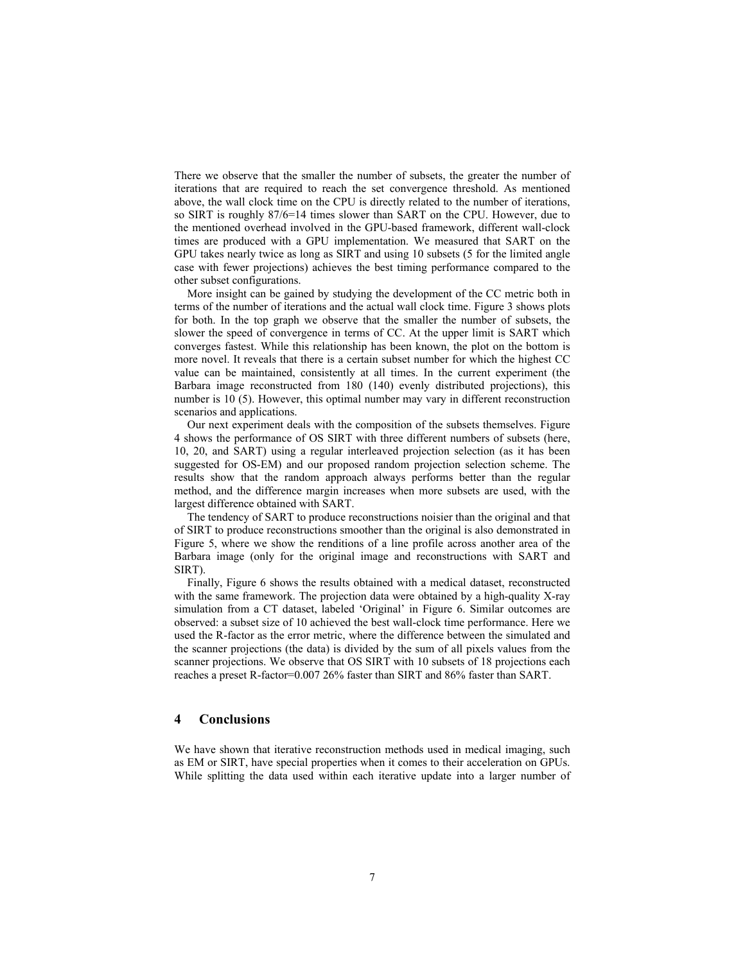There we observe that the smaller the number of subsets, the greater the number of iterations that are required to reach the set convergence threshold. As mentioned above, the wall clock time on the CPU is directly related to the number of iterations, so SIRT is roughly 87/6=14 times slower than SART on the CPU. However, due to the mentioned overhead involved in the GPU-based framework, different wall-clock times are produced with a GPU implementation. We measured that SART on the GPU takes nearly twice as long as SIRT and using 10 subsets (5 for the limited angle case with fewer projections) achieves the best timing performance compared to the other subset configurations.

More insight can be gained by studying the development of the CC metric both in terms of the number of iterations and the actual wall clock time. Figure 3 shows plots for both. In the top graph we observe that the smaller the number of subsets, the slower the speed of convergence in terms of CC. At the upper limit is SART which converges fastest. While this relationship has been known, the plot on the bottom is more novel. It reveals that there is a certain subset number for which the highest CC value can be maintained, consistently at all times. In the current experiment (the Barbara image reconstructed from 180 (140) evenly distributed projections), this number is 10 (5). However, this optimal number may vary in different reconstruction scenarios and applications.

Our next experiment deals with the composition of the subsets themselves. Figure 4 shows the performance of OS SIRT with three different numbers of subsets (here, 10, 20, and SART) using a regular interleaved projection selection (as it has been suggested for OS-EM) and our proposed random projection selection scheme. The results show that the random approach always performs better than the regular method, and the difference margin increases when more subsets are used, with the largest difference obtained with SART.

The tendency of SART to produce reconstructions noisier than the original and that of SIRT to produce reconstructions smoother than the original is also demonstrated in Figure 5, where we show the renditions of a line profile across another area of the Barbara image (only for the original image and reconstructions with SART and SIRT).

Finally, Figure 6 shows the results obtained with a medical dataset, reconstructed with the same framework. The projection data were obtained by a high-quality X-ray simulation from a CT dataset, labeled 'Original' in Figure 6. Similar outcomes are observed: a subset size of 10 achieved the best wall-clock time performance. Here we used the R-factor as the error metric, where the difference between the simulated and the scanner projections (the data) is divided by the sum of all pixels values from the scanner projections. We observe that OS SIRT with 10 subsets of 18 projections each reaches a preset R-factor=0.007 26% faster than SIRT and 86% faster than SART.

## **4 Conclusions**

We have shown that iterative reconstruction methods used in medical imaging, such as EM or SIRT, have special properties when it comes to their acceleration on GPUs. While splitting the data used within each iterative update into a larger number of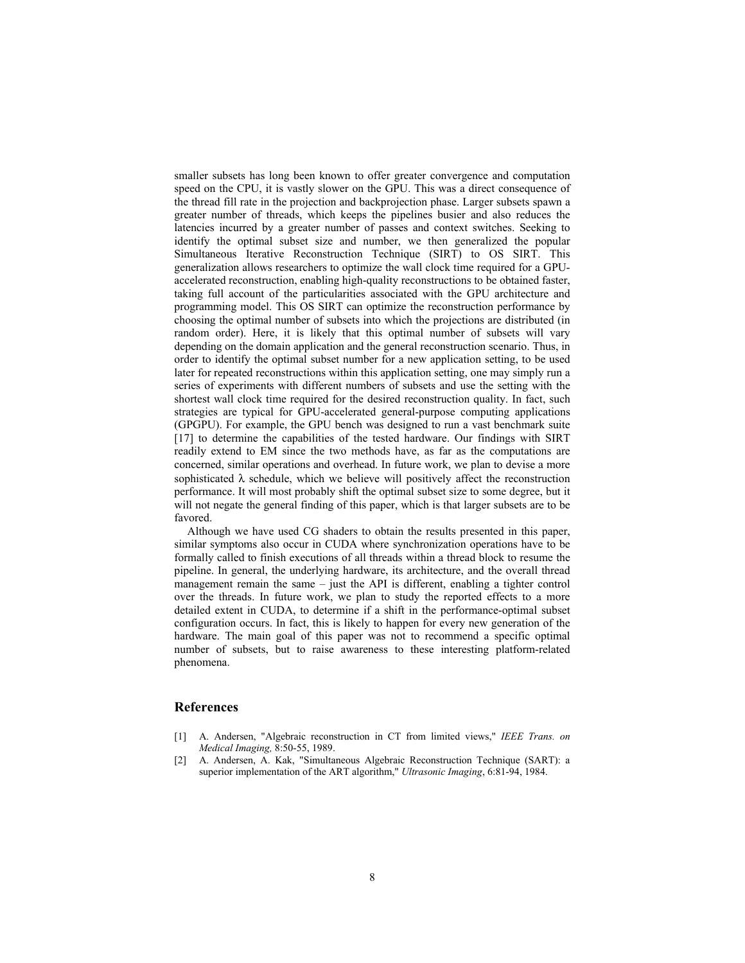smaller subsets has long been known to offer greater convergence and computation speed on the CPU, it is vastly slower on the GPU. This was a direct consequence of the thread fill rate in the projection and backprojection phase. Larger subsets spawn a greater number of threads, which keeps the pipelines busier and also reduces the latencies incurred by a greater number of passes and context switches. Seeking to identify the optimal subset size and number, we then generalized the popular Simultaneous Iterative Reconstruction Technique (SIRT) to OS SIRT. This generalization allows researchers to optimize the wall clock time required for a GPUaccelerated reconstruction, enabling high-quality reconstructions to be obtained faster, taking full account of the particularities associated with the GPU architecture and programming model. This OS SIRT can optimize the reconstruction performance by choosing the optimal number of subsets into which the projections are distributed (in random order). Here, it is likely that this optimal number of subsets will vary depending on the domain application and the general reconstruction scenario. Thus, in order to identify the optimal subset number for a new application setting, to be used later for repeated reconstructions within this application setting, one may simply run a series of experiments with different numbers of subsets and use the setting with the shortest wall clock time required for the desired reconstruction quality. In fact, such strategies are typical for GPU-accelerated general-purpose computing applications (GPGPU). For example, the GPU bench was designed to run a vast benchmark suite [17] to determine the capabilities of the tested hardware. Our findings with SIRT readily extend to EM since the two methods have, as far as the computations are concerned, similar operations and overhead. In future work, we plan to devise a more sophisticated  $\lambda$  schedule, which we believe will positively affect the reconstruction performance. It will most probably shift the optimal subset size to some degree, but it will not negate the general finding of this paper, which is that larger subsets are to be favored.

Although we have used CG shaders to obtain the results presented in this paper, similar symptoms also occur in CUDA where synchronization operations have to be formally called to finish executions of all threads within a thread block to resume the pipeline. In general, the underlying hardware, its architecture, and the overall thread management remain the same – just the API is different, enabling a tighter control over the threads. In future work, we plan to study the reported effects to a more detailed extent in CUDA, to determine if a shift in the performance-optimal subset configuration occurs. In fact, this is likely to happen for every new generation of the hardware. The main goal of this paper was not to recommend a specific optimal number of subsets, but to raise awareness to these interesting platform-related phenomena.

### **References**

- [1] A. Andersen, "Algebraic reconstruction in CT from limited views," *IEEE Trans. on Medical Imaging,* 8:50-55, 1989.
- [2] A. Andersen, A. Kak, "Simultaneous Algebraic Reconstruction Technique (SART): a superior implementation of the ART algorithm," *Ultrasonic Imaging*, 6:81-94, 1984.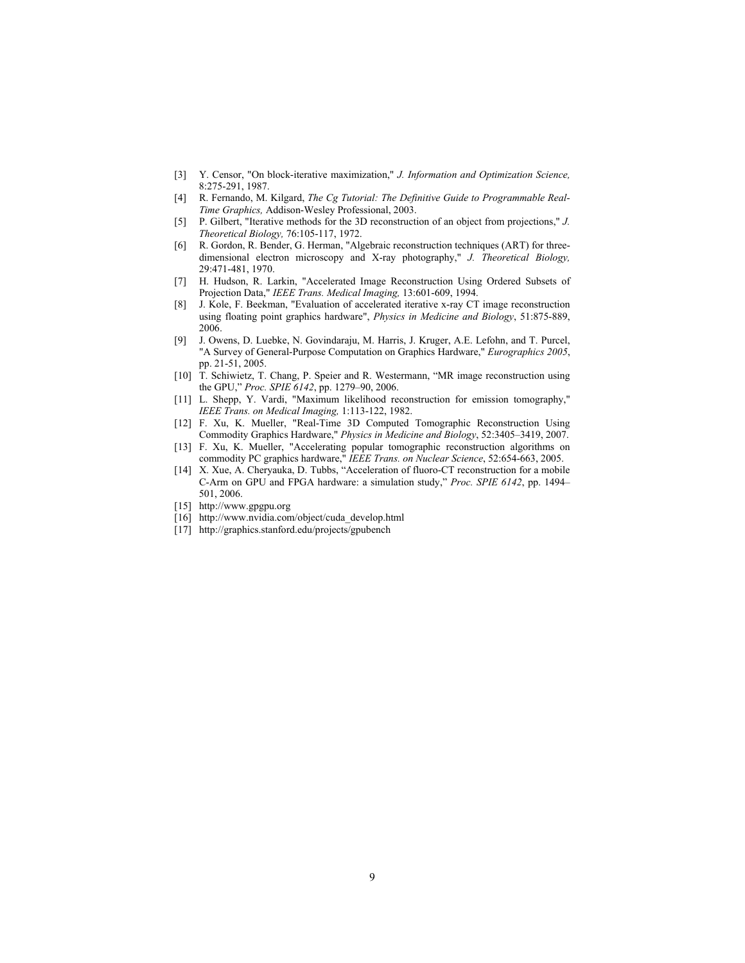- [3] Y. Censor, "On block-iterative maximization," *J. Information and Optimization Science,* 8:275-291, 1987.
- [4] R. Fernando, M. Kilgard, *The Cg Tutorial: The Definitive Guide to Programmable Real-Time Graphics,* Addison-Wesley Professional, 2003.
- [5] P. Gilbert, "Iterative methods for the 3D reconstruction of an object from projections," *J. Theoretical Biology,* 76:105-117, 1972.
- [6] R. Gordon, R. Bender, G. Herman, "Algebraic reconstruction techniques (ART) for threedimensional electron microscopy and X-ray photography," *J. Theoretical Biology,* 29:471-481, 1970.
- [7] H. Hudson, R. Larkin, "Accelerated Image Reconstruction Using Ordered Subsets of Projection Data," *IEEE Trans. Medical Imaging,* 13:601-609, 1994.
- [8] J. Kole, F. Beekman, "Evaluation of accelerated iterative x-ray CT image reconstruction using floating point graphics hardware", *Physics in Medicine and Biology*, 51:875-889, 2006.
- [9] J. Owens, D. Luebke, N. Govindaraju, M. Harris, J. Kruger, A.E. Lefohn, and T. Purcel, "A Survey of General-Purpose Computation on Graphics Hardware," *Eurographics 2005*, pp. 21-51, 2005.
- [10] T. Schiwietz, T. Chang, P. Speier and R. Westermann, "MR image reconstruction using the GPU," *Proc. SPIE 6142*, pp. 1279–90, 2006.
- [11] L. Shepp, Y. Vardi, "Maximum likelihood reconstruction for emission tomography," *IEEE Trans. on Medical Imaging,* 1:113-122, 1982.
- [12] F. Xu, K. Mueller, "Real-Time 3D Computed Tomographic Reconstruction Using Commodity Graphics Hardware," *Physics in Medicine and Biology*, 52:3405–3419, 2007.
- [13] F. Xu, K. Mueller, "Accelerating popular tomographic reconstruction algorithms on commodity PC graphics hardware," *IEEE Trans. on Nuclear Science*, 52:654-663, 2005.
- [14] X. Xue, A. Cheryauka, D. Tubbs, "Acceleration of fluoro-CT reconstruction for a mobile C-Arm on GPU and FPGA hardware: a simulation study," *Proc. SPIE 6142*, pp. 1494– 501, 2006.
- [15] http://www.gpgpu.org
- [16] http://www.nvidia.com/object/cuda\_develop.html
- [17] http://graphics.stanford.edu/projects/gpubench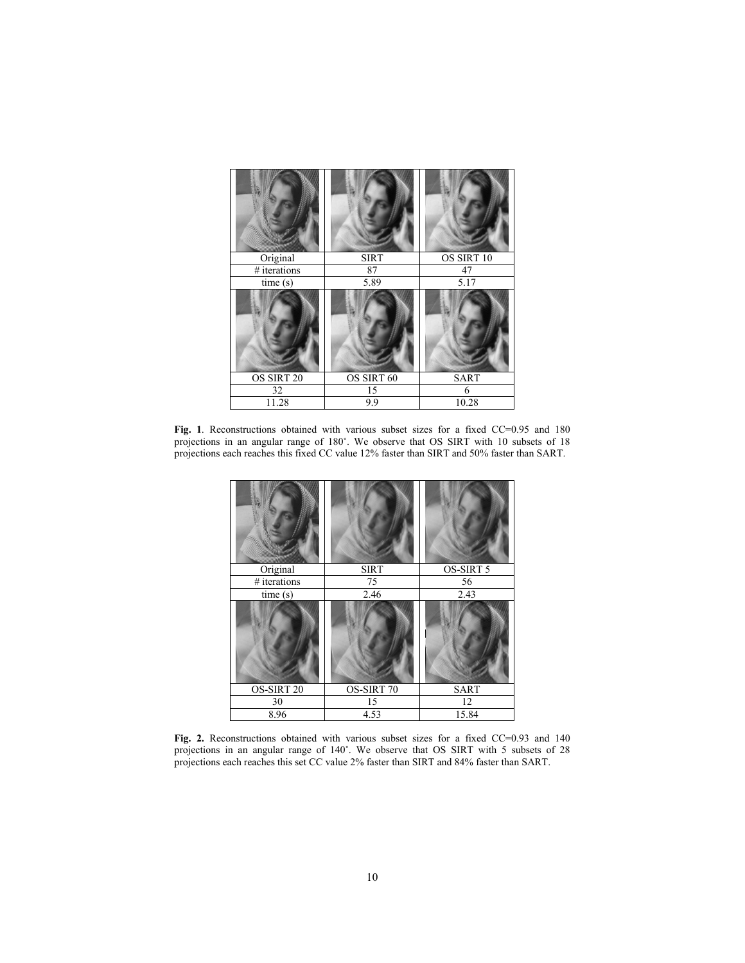| William               |             |                   |
|-----------------------|-------------|-------------------|
| Original              | <b>SIRT</b> | OS SIRT 10        |
| # iterations          | 87          | 47                |
| time (s)              | 5.89        | $\overline{5.17}$ |
|                       |             |                   |
| OS SIRT <sub>20</sub> | OS SIRT 60  | <b>SART</b>       |
| 32                    | 15          | 6                 |
| 11.28                 | 9.9         | 10.28             |

Fig. 1. Reconstructions obtained with various subset sizes for a fixed CC=0.95 and 180 projections in an angular range of 180˚. We observe that OS SIRT with 10 subsets of 18 projections each reaches this fixed CC value 12% faster than SIRT and 50% faster than SART.

| Original     | <b>SIRT</b> | OS-SIRT 5   |
|--------------|-------------|-------------|
| # iterations | 75          | 56          |
| time(s)      | 2.46        | 2.43        |
|              |             |             |
| OS-SIRT 20   | OS-SIRT 70  | <b>SART</b> |
| 30           | 15          | 12          |
| 8.96         | 4.53        | 15.84       |

Fig. 2. Reconstructions obtained with various subset sizes for a fixed CC=0.93 and 140 projections in an angular range of 140˚. We observe that OS SIRT with 5 subsets of 28 projections each reaches this set CC value 2% faster than SIRT and 84% faster than SART.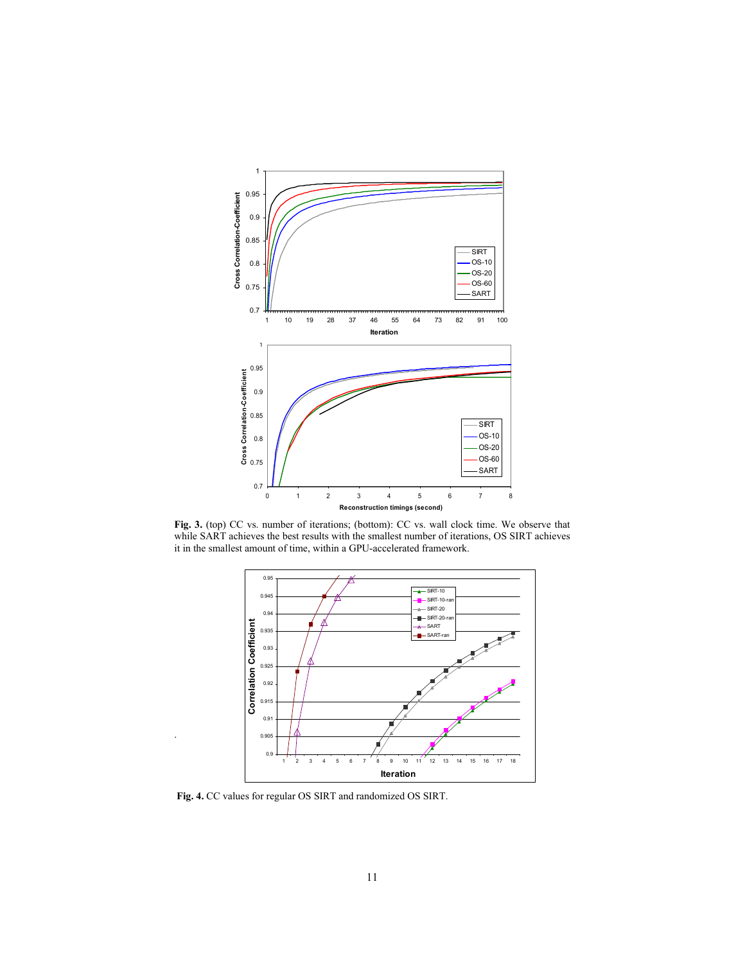

**Fig. 3.** (top) CC vs. number of iterations; (bottom): CC vs. wall clock time. We observe that while SART achieves the best results with the smallest number of iterations, OS SIRT achieves it in the smallest amount of time, within a GPU-accelerated framework.



**Fig. 4.** CC values for regular OS SIRT and randomized OS SIRT.

.